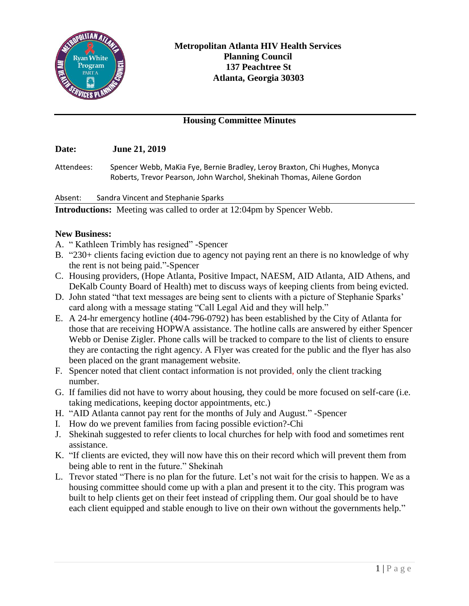

## **Housing Committee Minutes**

## **Date: June 21, 2019**

Attendees: Spencer Webb, MaKia Fye, Bernie Bradley, Leroy Braxton, Chi Hughes, Monyca Roberts, Trevor Pearson, John Warchol, Shekinah Thomas, Ailene Gordon

Absent: Sandra Vincent and Stephanie Sparks

**Introductions:** Meeting was called to order at 12:04pm by Spencer Webb.

## **New Business:**

- A. " Kathleen Trimbly has resigned" -Spencer
- B. "230+ clients facing eviction due to agency not paying rent an there is no knowledge of why the rent is not being paid."-Spencer
- C. Housing providers, (Hope Atlanta, Positive Impact, NAESM, AID Atlanta, AID Athens, and DeKalb County Board of Health) met to discuss ways of keeping clients from being evicted.
- D. John stated "that text messages are being sent to clients with a picture of Stephanie Sparks' card along with a message stating "Call Legal Aid and they will help."
- E. A 24-hr emergency hotline (404-796-0792) has been established by the City of Atlanta for those that are receiving HOPWA assistance. The hotline calls are answered by either Spencer Webb or Denise Zigler. Phone calls will be tracked to compare to the list of clients to ensure they are contacting the right agency. A Flyer was created for the public and the flyer has also been placed on the grant management website.
- F. Spencer noted that client contact information is not provided, only the client tracking number.
- G. If families did not have to worry about housing, they could be more focused on self-care (i.e. taking medications, keeping doctor appointments, etc.)
- H. "AID Atlanta cannot pay rent for the months of July and August." -Spencer
- I. How do we prevent families from facing possible eviction?-Chi
- J. Shekinah suggested to refer clients to local churches for help with food and sometimes rent assistance.
- K. "If clients are evicted, they will now have this on their record which will prevent them from being able to rent in the future." Shekinah
- L. Trevor stated "There is no plan for the future. Let's not wait for the crisis to happen. We as a housing committee should come up with a plan and present it to the city. This program was built to help clients get on their feet instead of crippling them. Our goal should be to have each client equipped and stable enough to live on their own without the governments help."